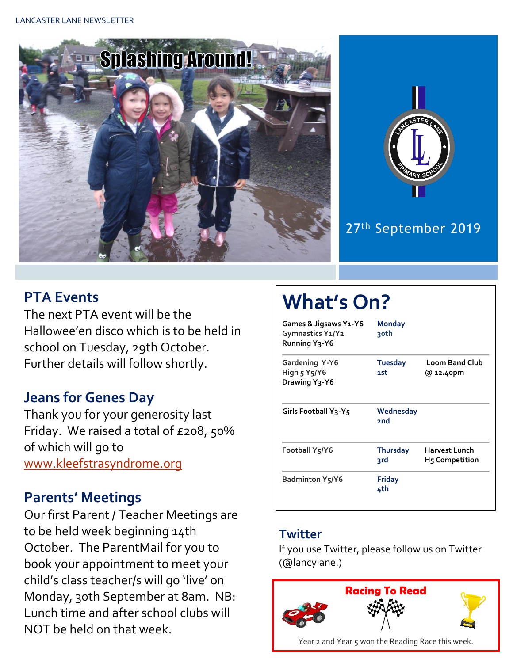



# 27 th September 2019

## **PTA Events**

The next PTA event will be the Hallowee'en disco which is to be held in school on Tuesday, 29th October. Further details will follow shortly.

## **Jeans for Genes Day**

Thank you for your generosity last Friday. We raised a total of £208, 50% of which will go to [www.kleefstrasyndrome.org](http://www.kleefstrasyndrome.org/)

#### **Parents' Meetings**

Our first Parent / Teacher Meetings are to be held week beginning 14th October. The ParentMail for you to book your appointment to meet your child's class teacher/s will go 'live' on Monday, 30th September at 8am. NB: Lunch time and after school clubs will NOT be held on that week.

# **What's On?**

| Games & Jigsaws Y1-Y6<br>Gymnastics Y1/Y2<br>Running Y <sub>3</sub> -Y6 | <b>Monday</b><br><u>30th</u> |                                        |
|-------------------------------------------------------------------------|------------------------------|----------------------------------------|
| <b>Gardening Y-Y6</b><br>High 5 Y5/Y6<br>Drawing Y3-Y6                  | <b>Tuesday</b><br>1st        | <b>Loom Band Club</b><br>@ 12.40pm     |
| Girls Football Y3-Y5                                                    | Wednesday<br>2nd             |                                        |
| Football Y5/Y6                                                          | <b>Thursday</b><br>3rd       | Harvest Lunch<br><b>H5 Competition</b> |
| Badminton Y5/Y6                                                         | <b>Friday</b><br>4th         |                                        |

#### **Twitter**

If you use Twitter, please follow us on Twitter (@lancylane.)

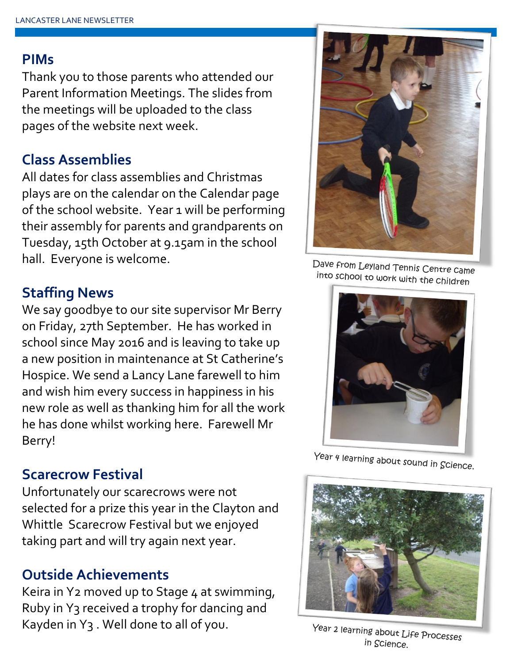#### **PIMs**

Thank you to those parents who attended our Parent Information Meetings. The slides from the meetings will be uploaded to the class pages of the website next week.

## **Class Assemblies**

All dates for class assemblies and Christmas plays are on the calendar on the Calendar page of the school website. Year 1 will be performing their assembly for parents and grandparents on Tuesday, 15th October at 9.15am in the school hall. Everyone is welcome.

# **Staffing News**

We say goodbye to our site supervisor Mr Berry on Friday, 27th September. He has worked in school since May 2016 and is leaving to take up a new position in maintenance at St Catherine's Hospice. We send a Lancy Lane farewell to him and wish him every success in happiness in his new role as well as thanking him for all the work he has done whilst working here. Farewell Mr Berry!

## **Scarecrow Festival**

Unfortunately our scarecrows were not selected for a prize this year in the Clayton and Whittle Scarecrow Festival but we enjoyed taking part and will try again next year.

# **Outside Achievements**

Keira in Y2 moved up to Stage 4 at swimming, Ruby in Y3 received a trophy for dancing and Kayden in Y3 . Well done to all of you.



Dave from Leyland Tennis Centre came into school to work with the children



Year 4 learning about sound in Science.



Year 2 learning about Life Processes in Science.